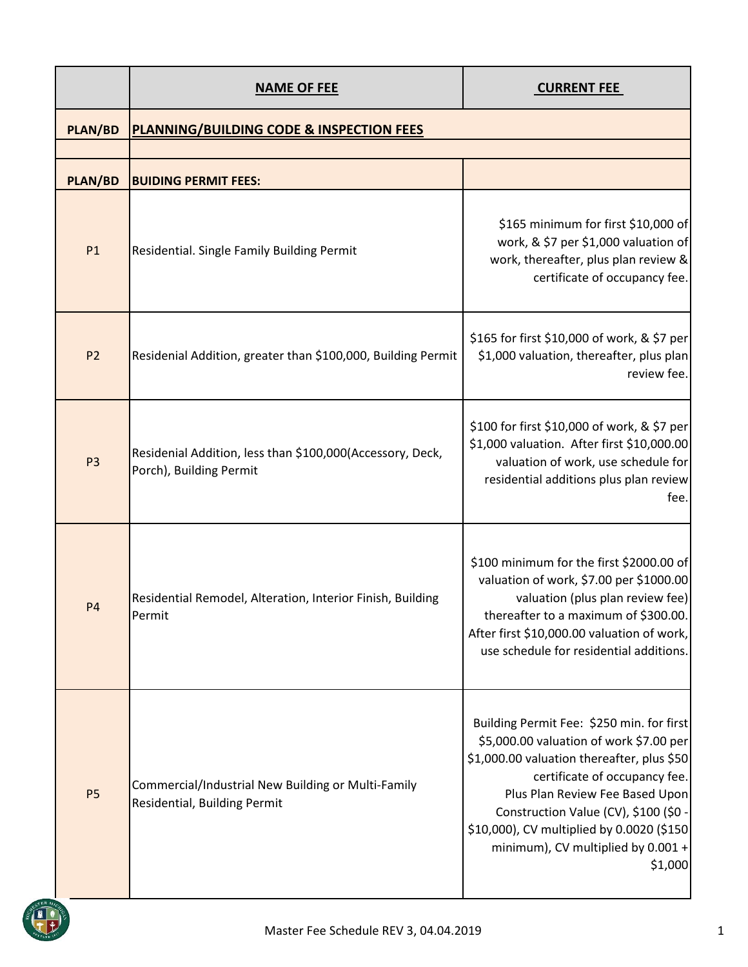|                | <b>NAME OF FEE</b>                                                                   | <b>CURRENT FEE</b>                                                                                                                                                                                                                                                                                                                            |
|----------------|--------------------------------------------------------------------------------------|-----------------------------------------------------------------------------------------------------------------------------------------------------------------------------------------------------------------------------------------------------------------------------------------------------------------------------------------------|
| <b>PLAN/BD</b> | <b>PLANNING/BUILDING CODE &amp; INSPECTION FEES</b>                                  |                                                                                                                                                                                                                                                                                                                                               |
|                |                                                                                      |                                                                                                                                                                                                                                                                                                                                               |
| <b>PLAN/BD</b> | <b>BUIDING PERMIT FEES:</b>                                                          |                                                                                                                                                                                                                                                                                                                                               |
| P1             | Residential. Single Family Building Permit                                           | \$165 minimum for first \$10,000 of<br>work, & \$7 per \$1,000 valuation of<br>work, thereafter, plus plan review &<br>certificate of occupancy fee.                                                                                                                                                                                          |
| P <sub>2</sub> | Residenial Addition, greater than \$100,000, Building Permit                         | \$165 for first \$10,000 of work, & \$7 per<br>\$1,000 valuation, thereafter, plus plan<br>review fee.                                                                                                                                                                                                                                        |
| P <sub>3</sub> | Residenial Addition, less than \$100,000(Accessory, Deck,<br>Porch), Building Permit | \$100 for first \$10,000 of work, & \$7 per<br>\$1,000 valuation. After first \$10,000.00<br>valuation of work, use schedule for<br>residential additions plus plan review<br>fee.                                                                                                                                                            |
| <b>P4</b>      | Residential Remodel, Alteration, Interior Finish, Building<br>Permit                 | \$100 minimum for the first \$2000.00 of<br>valuation of work, \$7.00 per \$1000.00<br>valuation (plus plan review fee)<br>thereafter to a maximum of \$300.00.<br>After first \$10,000.00 valuation of work,<br>use schedule for residential additions.                                                                                      |
| <b>P5</b>      | Commercial/Industrial New Building or Multi-Family<br>Residential, Building Permit   | Building Permit Fee: \$250 min. for first<br>\$5,000.00 valuation of work \$7.00 per<br>\$1,000.00 valuation thereafter, plus \$50<br>certificate of occupancy fee.<br>Plus Plan Review Fee Based Upon<br>Construction Value (CV), \$100 (\$0 -<br>\$10,000), CV multiplied by 0.0020 (\$150<br>minimum), CV multiplied by 0.001 +<br>\$1,000 |

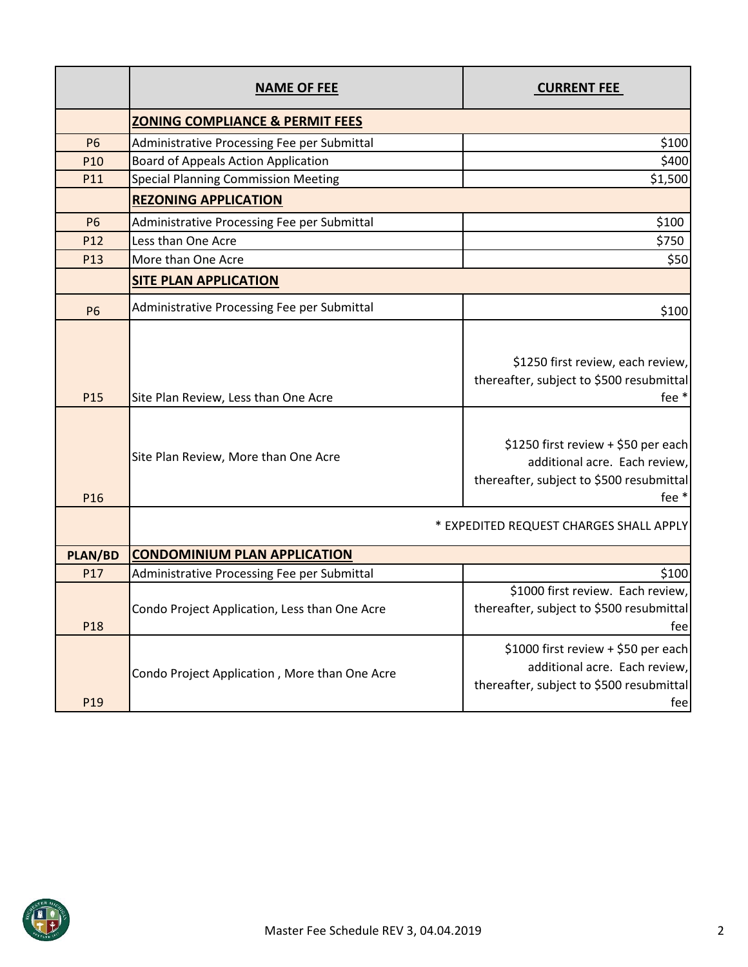|                 | <b>NAME OF FEE</b>                                                           | <b>CURRENT FEE</b>                                                                                                                                                                                         |
|-----------------|------------------------------------------------------------------------------|------------------------------------------------------------------------------------------------------------------------------------------------------------------------------------------------------------|
|                 | <b>ZONING COMPLIANCE &amp; PERMIT FEES</b>                                   |                                                                                                                                                                                                            |
| <b>P6</b>       | Administrative Processing Fee per Submittal                                  | \$100                                                                                                                                                                                                      |
| P10             | <b>Board of Appeals Action Application</b>                                   | \$400                                                                                                                                                                                                      |
| P11             | <b>Special Planning Commission Meeting</b>                                   | \$1,500                                                                                                                                                                                                    |
|                 | <b>REZONING APPLICATION</b>                                                  |                                                                                                                                                                                                            |
| <b>P6</b>       | Administrative Processing Fee per Submittal                                  | \$100                                                                                                                                                                                                      |
| P <sub>12</sub> | Less than One Acre                                                           | \$750                                                                                                                                                                                                      |
| P13             | More than One Acre                                                           | \$50                                                                                                                                                                                                       |
|                 | <b>SITE PLAN APPLICATION</b>                                                 |                                                                                                                                                                                                            |
| <b>P6</b>       | Administrative Processing Fee per Submittal                                  | \$100                                                                                                                                                                                                      |
| P <sub>15</sub> | Site Plan Review, Less than One Acre<br>Site Plan Review, More than One Acre | \$1250 first review, each review,<br>thereafter, subject to \$500 resubmittal<br>fee *<br>\$1250 first review + \$50 per each<br>additional acre. Each review,<br>thereafter, subject to \$500 resubmittal |
| P <sub>16</sub> |                                                                              | fee *                                                                                                                                                                                                      |
|                 |                                                                              | * EXPEDITED REQUEST CHARGES SHALL APPLY                                                                                                                                                                    |
| <b>PLAN/BD</b>  | <b>CONDOMINIUM PLAN APPLICATION</b>                                          |                                                                                                                                                                                                            |
| P17             | Administrative Processing Fee per Submittal                                  | \$100                                                                                                                                                                                                      |
| P <sub>18</sub> | Condo Project Application, Less than One Acre                                | \$1000 first review. Each review,<br>thereafter, subject to \$500 resubmittal<br>fee                                                                                                                       |
| P <sub>19</sub> | Condo Project Application, More than One Acre                                | \$1000 first review + \$50 per each<br>additional acre. Each review,<br>thereafter, subject to \$500 resubmittal<br>fee                                                                                    |

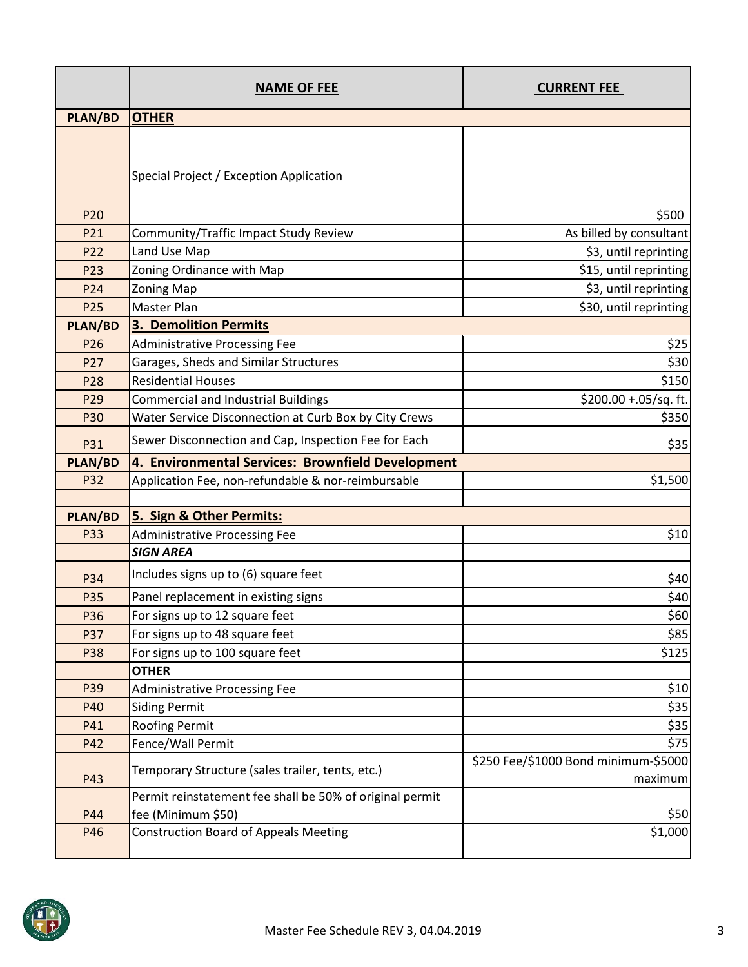|                | <b>NAME OF FEE</b>                                       | <b>CURRENT FEE</b>                              |
|----------------|----------------------------------------------------------|-------------------------------------------------|
| <b>PLAN/BD</b> | <b>OTHER</b>                                             |                                                 |
| <b>P20</b>     | Special Project / Exception Application                  | \$500                                           |
| P21            | Community/Traffic Impact Study Review                    | As billed by consultant                         |
| P22            | Land Use Map                                             | \$3, until reprinting                           |
| P23            | Zoning Ordinance with Map                                | \$15, until reprinting                          |
| P24            | Zoning Map                                               | \$3, until reprinting                           |
| P25            | Master Plan                                              | \$30, until reprinting                          |
| <b>PLAN/BD</b> | <b>3. Demolition Permits</b>                             |                                                 |
| P26            | <b>Administrative Processing Fee</b>                     | \$25                                            |
| P27            | Garages, Sheds and Similar Structures                    | \$30                                            |
| P28            | <b>Residential Houses</b>                                | \$150                                           |
| P29            | <b>Commercial and Industrial Buildings</b>               | \$200.00 +.05/sq. ft.                           |
| P30            | Water Service Disconnection at Curb Box by City Crews    | \$350                                           |
| P31            | Sewer Disconnection and Cap, Inspection Fee for Each     | \$35                                            |
| <b>PLAN/BD</b> | 4. Environmental Services: Brownfield Development        |                                                 |
| P32            | Application Fee, non-refundable & nor-reimbursable       | \$1,500                                         |
| <b>PLAN/BD</b> | 5. Sign & Other Permits:                                 |                                                 |
| <b>P33</b>     | <b>Administrative Processing Fee</b>                     | \$10                                            |
|                | <b>SIGN AREA</b>                                         |                                                 |
| P34            | Includes signs up to (6) square feet                     | \$40                                            |
| P35            | Panel replacement in existing signs                      | \$40                                            |
| P36            | For signs up to 12 square feet                           | \$60                                            |
| P37            | For signs up to 48 square feet                           | \$85                                            |
| P38            | For signs up to 100 square feet                          | \$125                                           |
|                | <b>OTHER</b>                                             |                                                 |
| P39            | Administrative Processing Fee                            | \$10                                            |
| P40            | <b>Siding Permit</b>                                     | \$35                                            |
| P41            | <b>Roofing Permit</b>                                    | \$35                                            |
| P42            | Fence/Wall Permit                                        | \$75                                            |
| P43            | Temporary Structure (sales trailer, tents, etc.)         | \$250 Fee/\$1000 Bond minimum-\$5000<br>maximum |
|                | Permit reinstatement fee shall be 50% of original permit |                                                 |
| P44            | fee (Minimum \$50)                                       | \$50                                            |
| P46            | <b>Construction Board of Appeals Meeting</b>             | \$1,000                                         |
|                |                                                          |                                                 |

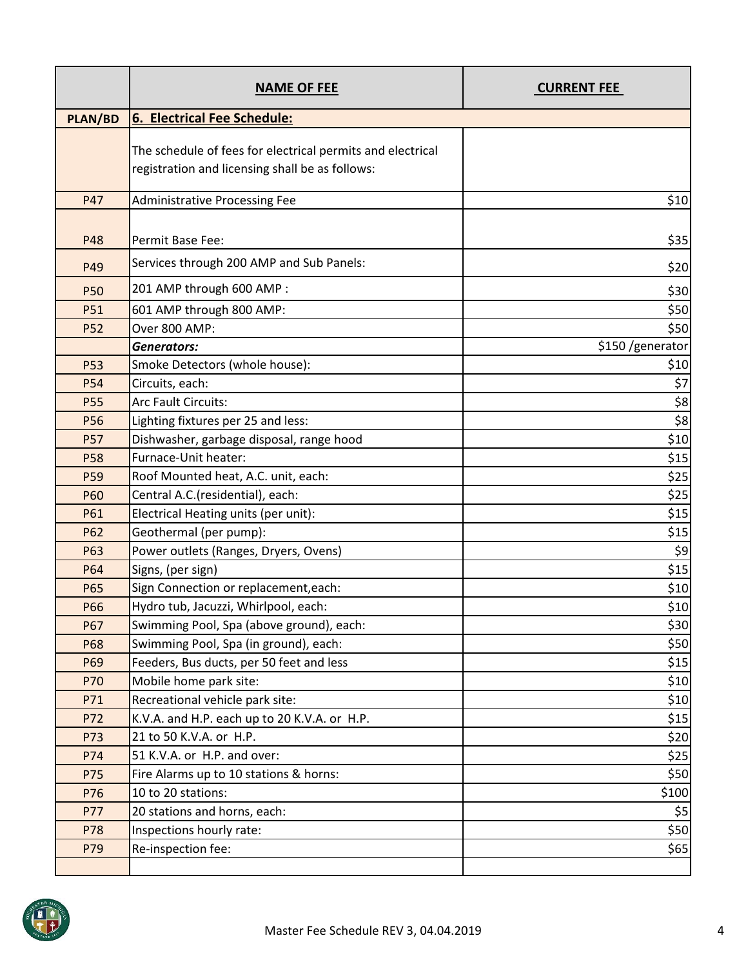|                 | <b>NAME OF FEE</b>                                                                                            | <b>CURRENT FEE</b> |
|-----------------|---------------------------------------------------------------------------------------------------------------|--------------------|
| <b>PLAN/BD</b>  | 6. Electrical Fee Schedule:                                                                                   |                    |
|                 | The schedule of fees for electrical permits and electrical<br>registration and licensing shall be as follows: |                    |
| P47             | <b>Administrative Processing Fee</b>                                                                          | \$10               |
| P48             | <b>Permit Base Fee:</b>                                                                                       | \$35]              |
| P49             | Services through 200 AMP and Sub Panels:                                                                      | \$20               |
| <b>P50</b>      | 201 AMP through 600 AMP :                                                                                     | \$30               |
| P51             | 601 AMP through 800 AMP:                                                                                      | \$50               |
| <b>P52</b>      | Over 800 AMP:                                                                                                 | \$50               |
|                 | <b>Generators:</b>                                                                                            | \$150 /generator   |
| <b>P53</b>      | Smoke Detectors (whole house):                                                                                | \$10               |
| <b>P54</b>      | Circuits, each:                                                                                               | \$7                |
| <b>P55</b>      | Arc Fault Circuits:                                                                                           | \$8                |
| <b>P56</b>      | Lighting fixtures per 25 and less:                                                                            | \$8                |
| <b>P57</b>      | Dishwasher, garbage disposal, range hood                                                                      | \$10               |
| <b>P58</b>      | Furnace-Unit heater:                                                                                          | \$15               |
| P <sub>59</sub> | Roof Mounted heat, A.C. unit, each:                                                                           | \$25               |
| <b>P60</b>      | Central A.C.(residential), each:                                                                              | \$25               |
| P61             | Electrical Heating units (per unit):                                                                          | \$15               |
| P62             | Geothermal (per pump):                                                                                        | \$15               |
| P63             | Power outlets (Ranges, Dryers, Ovens)                                                                         | \$9                |
| P64             | Signs, (per sign)                                                                                             | \$15               |
| P65             | Sign Connection or replacement, each:                                                                         | \$10               |
| P66             | Hydro tub, Jacuzzi, Whirlpool, each:                                                                          | \$10               |
| P67             | Swimming Pool, Spa (above ground), each:                                                                      | \$30               |
| <b>P68</b>      | Swimming Pool, Spa (in ground), each:                                                                         | \$50]              |
| P69             | Feeders, Bus ducts, per 50 feet and less                                                                      | \$15               |
| P70             | Mobile home park site:                                                                                        | \$10               |
| P71             | Recreational vehicle park site:                                                                               | \$10               |
| P72             | K.V.A. and H.P. each up to 20 K.V.A. or H.P.                                                                  | \$15               |
| P73             | 21 to 50 K.V.A. or H.P.                                                                                       | \$20]              |
| P74             | 51 K.V.A. or H.P. and over:                                                                                   | \$25               |
| P75             | Fire Alarms up to 10 stations & horns:                                                                        | \$50]              |
| P76             | 10 to 20 stations:                                                                                            | \$100              |
| P77             | 20 stations and horns, each:                                                                                  | \$5                |
| P78             | Inspections hourly rate:                                                                                      | \$50]              |
| P79             | Re-inspection fee:                                                                                            | \$65               |

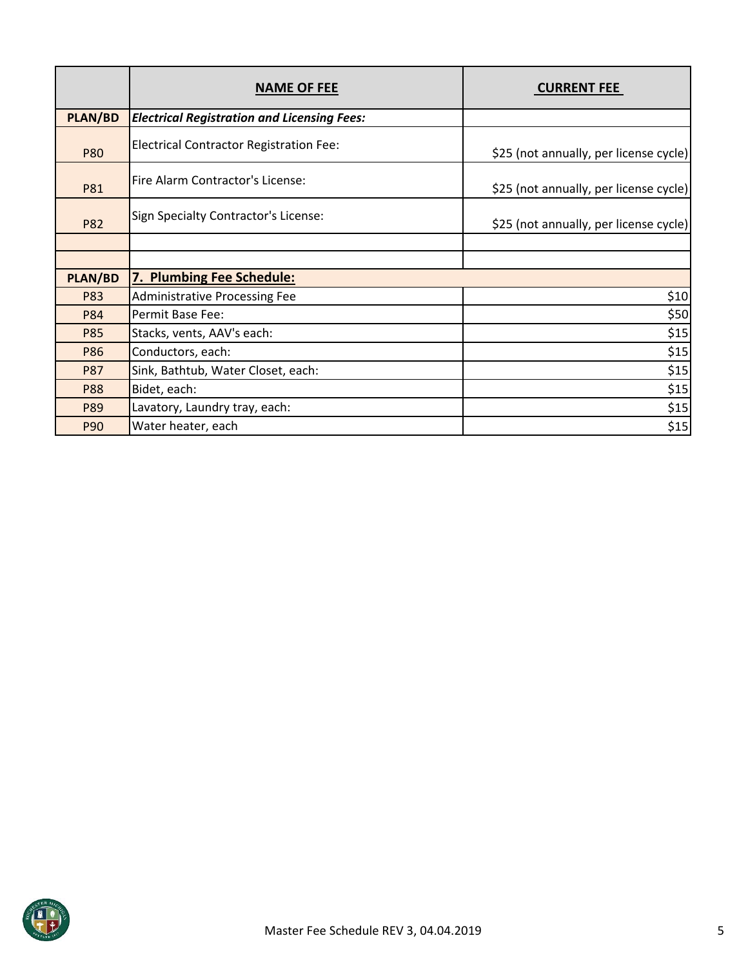|                | <b>NAME OF FEE</b>                                 | <b>CURRENT FEE</b>                     |
|----------------|----------------------------------------------------|----------------------------------------|
| <b>PLAN/BD</b> | <b>Electrical Registration and Licensing Fees:</b> |                                        |
| <b>P80</b>     | <b>Electrical Contractor Registration Fee:</b>     | \$25 (not annually, per license cycle) |
| P81            | Fire Alarm Contractor's License:                   | \$25 (not annually, per license cycle) |
| <b>P82</b>     | Sign Specialty Contractor's License:               | \$25 (not annually, per license cycle) |
|                |                                                    |                                        |
|                |                                                    |                                        |
| PLAN/BD        | 7. Plumbing Fee Schedule:                          |                                        |
| P83            | <b>Administrative Processing Fee</b>               | \$10                                   |
| <b>P84</b>     | Permit Base Fee:                                   | \$50]                                  |
| <b>P85</b>     | Stacks, vents, AAV's each:                         | \$15                                   |
| P86            | Conductors, each:                                  | \$15                                   |
| <b>P87</b>     | Sink, Bathtub, Water Closet, each:                 | \$15                                   |
| <b>P88</b>     | Bidet, each:                                       | \$15                                   |
| P89            | Lavatory, Laundry tray, each:                      | \$15                                   |
| <b>P90</b>     | Water heater, each                                 | \$15                                   |

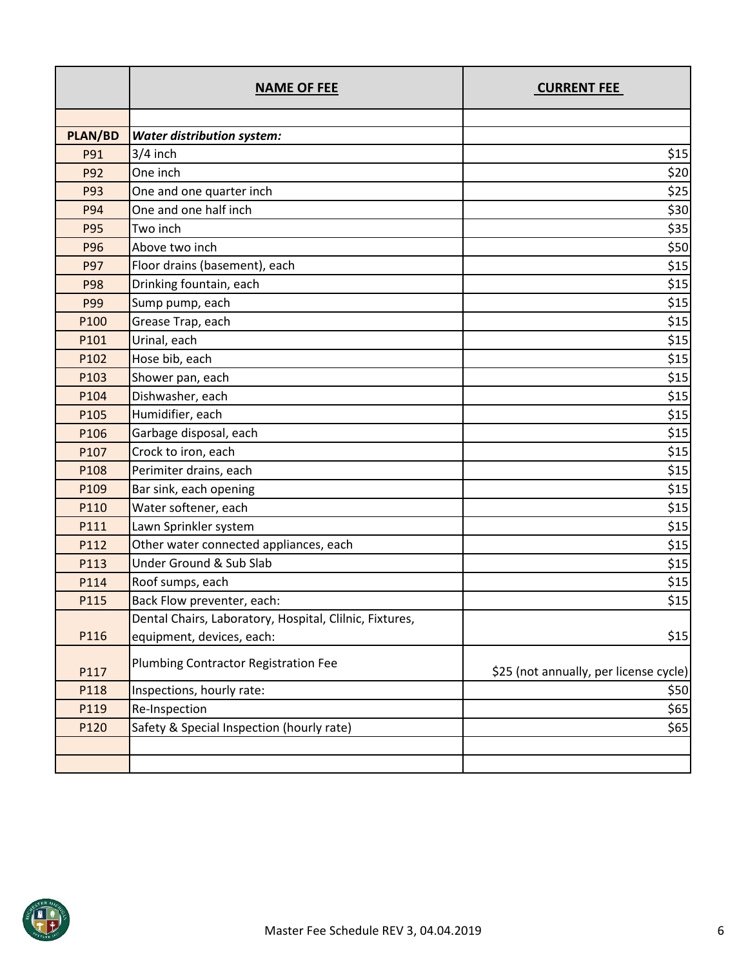|                | <b>NAME OF FEE</b>                                      | <b>CURRENT FEE</b>                     |
|----------------|---------------------------------------------------------|----------------------------------------|
|                |                                                         |                                        |
| <b>PLAN/BD</b> | <b>Water distribution system:</b>                       |                                        |
| P91            | 3/4 inch                                                | \$15                                   |
| P92            | One inch                                                | \$20                                   |
| P93            | One and one quarter inch                                | \$25                                   |
| <b>P94</b>     | One and one half inch                                   | \$30                                   |
| <b>P95</b>     | Two inch                                                | \$35                                   |
| P96            | Above two inch                                          | \$50                                   |
| P97            | Floor drains (basement), each                           | \$15                                   |
| <b>P98</b>     | Drinking fountain, each                                 | \$15                                   |
| P99            | Sump pump, each                                         | \$15                                   |
| P100           | Grease Trap, each                                       | \$15                                   |
| P101           | Urinal, each                                            | \$15                                   |
| P102           | Hose bib, each                                          | \$15                                   |
| P103           | Shower pan, each                                        | \$15                                   |
| P104           | Dishwasher, each                                        | \$15                                   |
| P105           | Humidifier, each                                        | \$15                                   |
| P106           | Garbage disposal, each                                  | \$15                                   |
| P107           | Crock to iron, each                                     | \$15                                   |
| P108           | Perimiter drains, each                                  | \$15                                   |
| P109           | Bar sink, each opening                                  | \$15                                   |
| P110           | Water softener, each                                    | \$15                                   |
| P111           | Lawn Sprinkler system                                   | \$15                                   |
| P112           | Other water connected appliances, each                  | \$15                                   |
| P113           | <b>Under Ground &amp; Sub Slab</b>                      | \$15                                   |
| P114           | Roof sumps, each                                        | \$15                                   |
| P115           | Back Flow preventer, each:                              | \$15                                   |
|                | Dental Chairs, Laboratory, Hospital, Clilnic, Fixtures, |                                        |
| P116           | equipment, devices, each:                               | \$15                                   |
| P117           | Plumbing Contractor Registration Fee                    | \$25 (not annually, per license cycle) |
| P118           | Inspections, hourly rate:                               | \$50                                   |
| P119           | Re-Inspection                                           | \$65                                   |
| P120           | Safety & Special Inspection (hourly rate)               | \$65                                   |
|                |                                                         |                                        |
|                |                                                         |                                        |

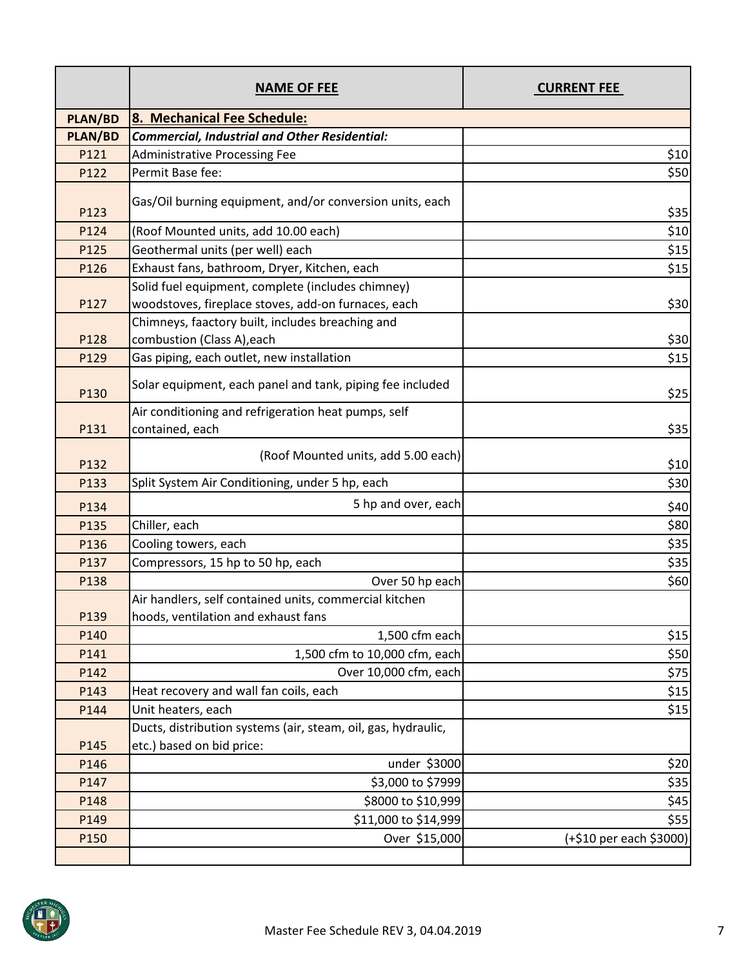|                | <b>NAME OF FEE</b>                                                     | <b>CURRENT FEE</b>      |
|----------------|------------------------------------------------------------------------|-------------------------|
| <b>PLAN/BD</b> | 8. Mechanical Fee Schedule:                                            |                         |
| <b>PLAN/BD</b> | <b>Commercial, Industrial and Other Residential:</b>                   |                         |
| P121           | <b>Administrative Processing Fee</b>                                   | \$10                    |
| P122           | Permit Base fee:                                                       | \$50                    |
| P123           | Gas/Oil burning equipment, and/or conversion units, each               | \$35                    |
| P124           | (Roof Mounted units, add 10.00 each)                                   | \$10                    |
| P125           | Geothermal units (per well) each                                       | \$15                    |
| P126           | Exhaust fans, bathroom, Dryer, Kitchen, each                           | \$15                    |
|                | Solid fuel equipment, complete (includes chimney)                      |                         |
| P127           | woodstoves, fireplace stoves, add-on furnaces, each                    | \$30                    |
|                | Chimneys, faactory built, includes breaching and                       |                         |
| P128           | combustion (Class A), each                                             | \$30                    |
| P129           | Gas piping, each outlet, new installation                              | \$15                    |
| P130           | Solar equipment, each panel and tank, piping fee included              | \$25                    |
| P131           | Air conditioning and refrigeration heat pumps, self<br>contained, each | \$35                    |
| P132           | (Roof Mounted units, add 5.00 each)                                    | \$10                    |
| P133           | Split System Air Conditioning, under 5 hp, each                        | \$30                    |
| P134           | 5 hp and over, each                                                    | \$40                    |
| P135           | Chiller, each                                                          | \$80                    |
| P136           | Cooling towers, each                                                   | \$35                    |
| P137           | Compressors, 15 hp to 50 hp, each                                      | \$35                    |
| P138           | Over 50 hp each                                                        | \$60                    |
|                | Air handlers, self contained units, commercial kitchen                 |                         |
| P139           | hoods, ventilation and exhaust fans                                    |                         |
| P140           | 1,500 cfm each                                                         | \$15                    |
| P141           | 1,500 cfm to 10,000 cfm, each                                          | \$50                    |
| P142           | Over 10,000 cfm, each                                                  | \$75                    |
| P143           | Heat recovery and wall fan coils, each                                 | \$15                    |
| P144           | Unit heaters, each                                                     | \$15                    |
|                | Ducts, distribution systems (air, steam, oil, gas, hydraulic,          |                         |
| P145           | etc.) based on bid price:                                              |                         |
| P146           | under \$3000                                                           | \$20                    |
| P147           | \$3,000 to \$7999                                                      | \$35                    |
| P148           | \$8000 to \$10,999                                                     | \$45                    |
| P149           | \$11,000 to \$14,999                                                   | \$55                    |
| P150           | Over \$15,000                                                          | (+\$10 per each \$3000) |
|                |                                                                        |                         |

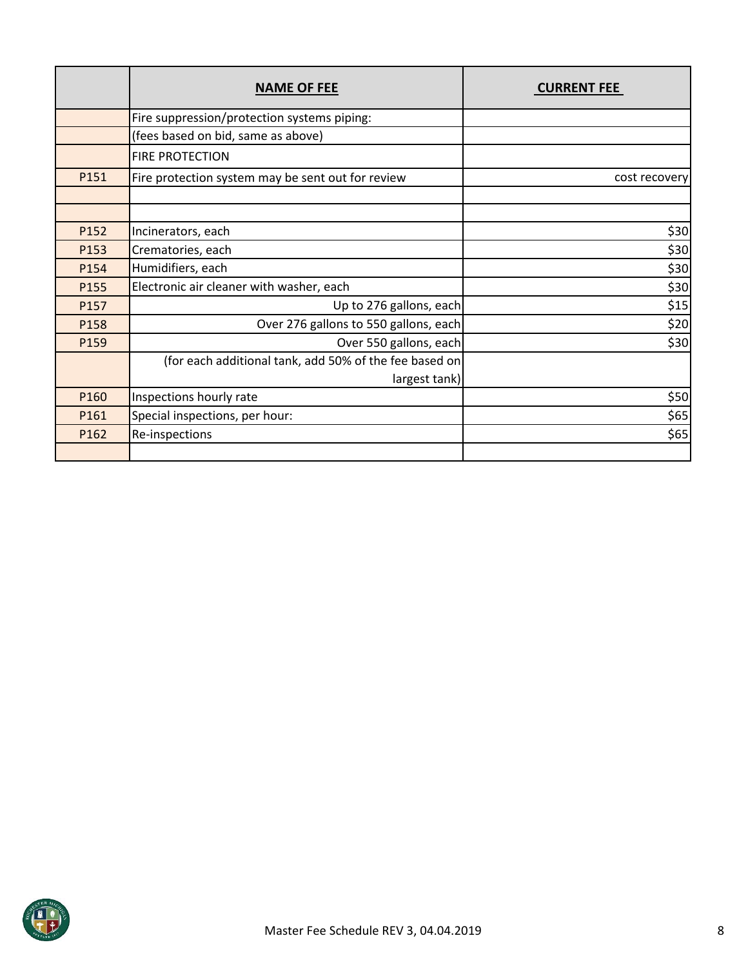|      | <b>NAME OF FEE</b>                                     | <b>CURRENT FEE</b> |
|------|--------------------------------------------------------|--------------------|
|      | Fire suppression/protection systems piping:            |                    |
|      | (fees based on bid, same as above)                     |                    |
|      | <b>FIRE PROTECTION</b>                                 |                    |
| P151 | Fire protection system may be sent out for review      | cost recovery      |
|      |                                                        |                    |
|      |                                                        |                    |
| P152 | Incinerators, each                                     | \$30               |
| P153 | Crematories, each                                      | \$30               |
| P154 | Humidifiers, each                                      | \$30               |
| P155 | Electronic air cleaner with washer, each               | \$30               |
| P157 | Up to 276 gallons, each                                | \$15]              |
| P158 | Over 276 gallons to 550 gallons, each                  | \$20]              |
| P159 | Over 550 gallons, each                                 | \$30               |
|      | (for each additional tank, add 50% of the fee based on |                    |
|      | largest tank)                                          |                    |
| P160 | Inspections hourly rate                                | \$50]              |
| P161 | Special inspections, per hour:                         | \$65]              |
| P162 | Re-inspections                                         | \$65               |
|      |                                                        |                    |

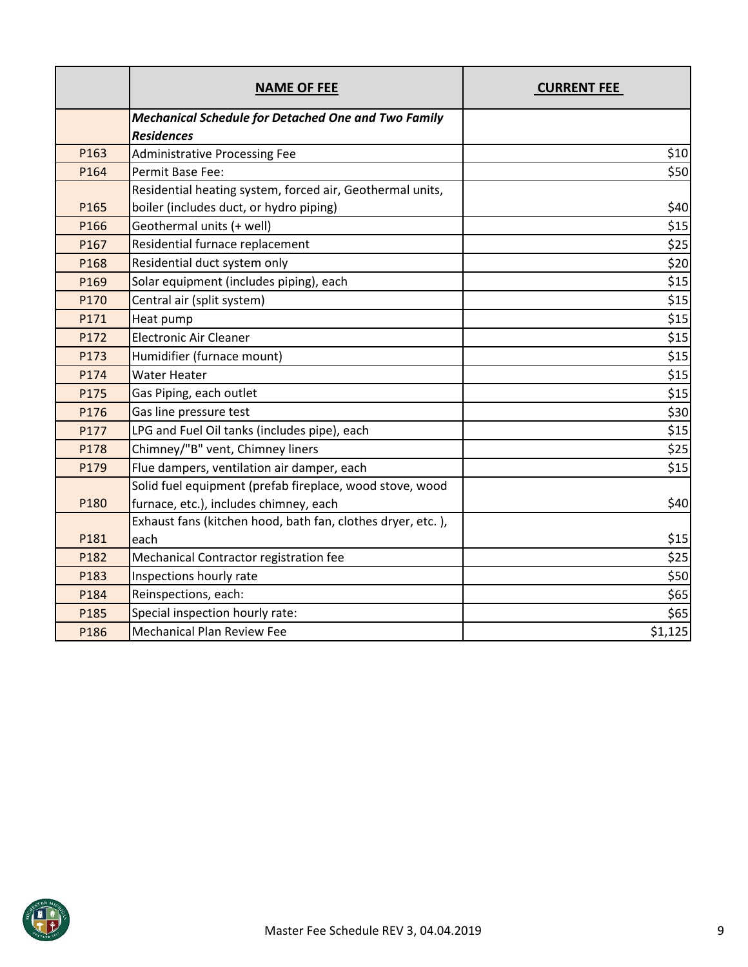|      | <b>NAME OF FEE</b>                                          | <b>CURRENT FEE</b> |
|------|-------------------------------------------------------------|--------------------|
|      | <b>Mechanical Schedule for Detached One and Two Family</b>  |                    |
|      | <b>Residences</b>                                           |                    |
| P163 | <b>Administrative Processing Fee</b>                        | \$10               |
| P164 | Permit Base Fee:                                            | \$50               |
|      | Residential heating system, forced air, Geothermal units,   |                    |
| P165 | boiler (includes duct, or hydro piping)                     | \$40               |
| P166 | Geothermal units (+ well)                                   | \$15               |
| P167 | Residential furnace replacement                             | \$25               |
| P168 | Residential duct system only                                | \$20               |
| P169 | Solar equipment (includes piping), each                     | \$15               |
| P170 | Central air (split system)                                  | \$15               |
| P171 | Heat pump                                                   | \$15               |
| P172 | <b>Electronic Air Cleaner</b>                               | \$15               |
| P173 | Humidifier (furnace mount)                                  | \$15               |
| P174 | <b>Water Heater</b>                                         | \$15               |
| P175 | Gas Piping, each outlet                                     | \$15               |
| P176 | Gas line pressure test                                      | \$30               |
| P177 | LPG and Fuel Oil tanks (includes pipe), each                | \$15               |
| P178 | Chimney/"B" vent, Chimney liners                            | \$25               |
| P179 | Flue dampers, ventilation air damper, each                  | \$15               |
|      | Solid fuel equipment (prefab fireplace, wood stove, wood    |                    |
| P180 | furnace, etc.), includes chimney, each                      | \$40               |
|      | Exhaust fans (kitchen hood, bath fan, clothes dryer, etc.), |                    |
| P181 | each                                                        | \$15               |
| P182 | Mechanical Contractor registration fee                      | \$25               |
| P183 | Inspections hourly rate                                     | \$50               |
| P184 | Reinspections, each:                                        | \$65               |
| P185 | Special inspection hourly rate:                             | \$65               |
| P186 | <b>Mechanical Plan Review Fee</b>                           | \$1,125            |

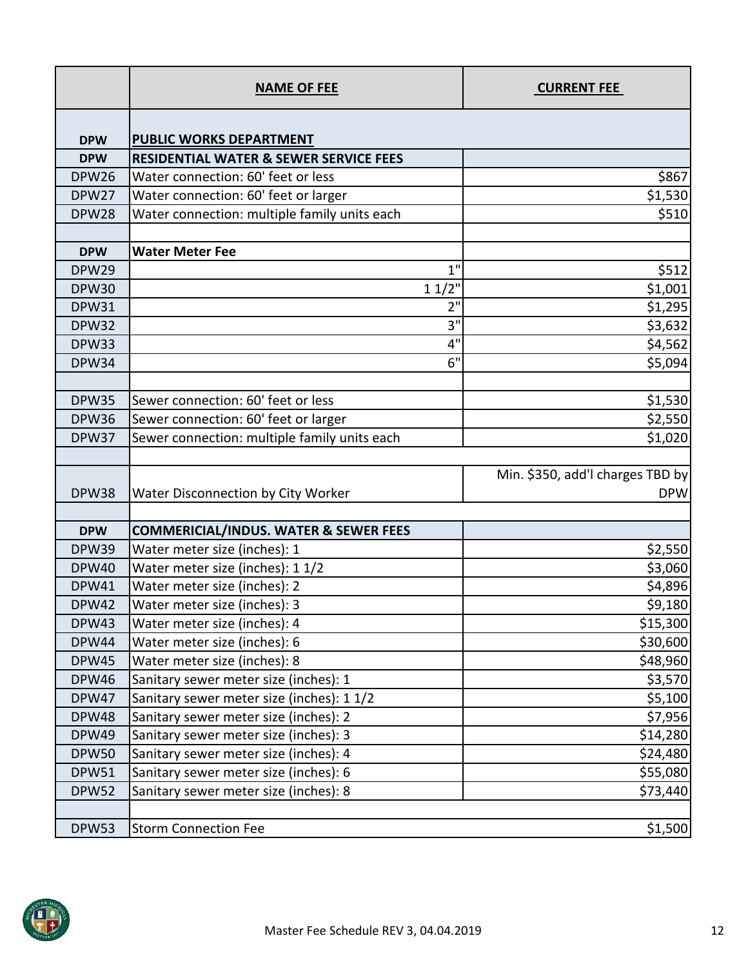|              | <b>NAME OF FEE</b>                                | <b>CURRENT FEE</b>               |
|--------------|---------------------------------------------------|----------------------------------|
| <b>DPW</b>   | <b>PUBLIC WORKS DEPARTMENT</b>                    |                                  |
| <b>DPW</b>   | <b>RESIDENTIAL WATER &amp; SEWER SERVICE FEES</b> |                                  |
| <b>DPW26</b> | Water connection: 60' feet or less                | \$867                            |
| DPW27        | Water connection: 60' feet or larger              | \$1,530                          |
| DPW28        | Water connection: multiple family units each      | \$510                            |
|              |                                                   |                                  |
| <b>DPW</b>   | <b>Water Meter Fee</b>                            |                                  |
| DPW29        | 1"                                                | \$512                            |
| <b>DPW30</b> | 11/2"                                             | \$1,001                          |
| <b>DPW31</b> | 2"                                                | \$1,295                          |
| <b>DPW32</b> | 3"                                                | \$3,632                          |
| DPW33        | 4"                                                | \$4,562                          |
| <b>DPW34</b> | 6"                                                | \$5,094                          |
|              |                                                   |                                  |
| <b>DPW35</b> | Sewer connection: 60' feet or less                | \$1,530                          |
| <b>DPW36</b> | Sewer connection: 60' feet or larger              | \$2,550                          |
| DPW37        | Sewer connection: multiple family units each      | \$1,020                          |
|              |                                                   |                                  |
|              |                                                   | Min. \$350, add'l charges TBD by |
| <b>DPW38</b> | Water Disconnection by City Worker                | <b>DPW</b>                       |
| <b>DPW</b>   | <b>COMMERICIAL/INDUS. WATER &amp; SEWER FEES</b>  |                                  |
| <b>DPW39</b> | Water meter size (inches): 1                      | \$2,550                          |
| <b>DPW40</b> | Water meter size (inches): 1 1/2                  | \$3,060                          |
| <b>DPW41</b> | Water meter size (inches): 2                      | \$4,896                          |
| DPW42        | Water meter size (inches): 3                      | \$9,180                          |
| DPW43        | Water meter size (inches): 4                      | \$15,300                         |
| DPW44        | Water meter size (inches): 6                      | \$30,600                         |
| <b>DPW45</b> | Water meter size (inches): 8                      | \$48,960                         |
| <b>DPW46</b> | Sanitary sewer meter size (inches): 1             | \$3,570                          |
| DPW47        | Sanitary sewer meter size (inches): 1 1/2         | \$5,100                          |
| <b>DPW48</b> | Sanitary sewer meter size (inches): 2             | \$7,956                          |
| <b>DPW49</b> | Sanitary sewer meter size (inches): 3             | \$14,280                         |
| <b>DPW50</b> | Sanitary sewer meter size (inches): 4             | \$24,480                         |
| <b>DPW51</b> | Sanitary sewer meter size (inches): 6             | \$55,080                         |
| <b>DPW52</b> | Sanitary sewer meter size (inches): 8             | \$73,440                         |
|              |                                                   |                                  |
| <b>DPW53</b> | <b>Storm Connection Fee</b>                       | \$1,500                          |

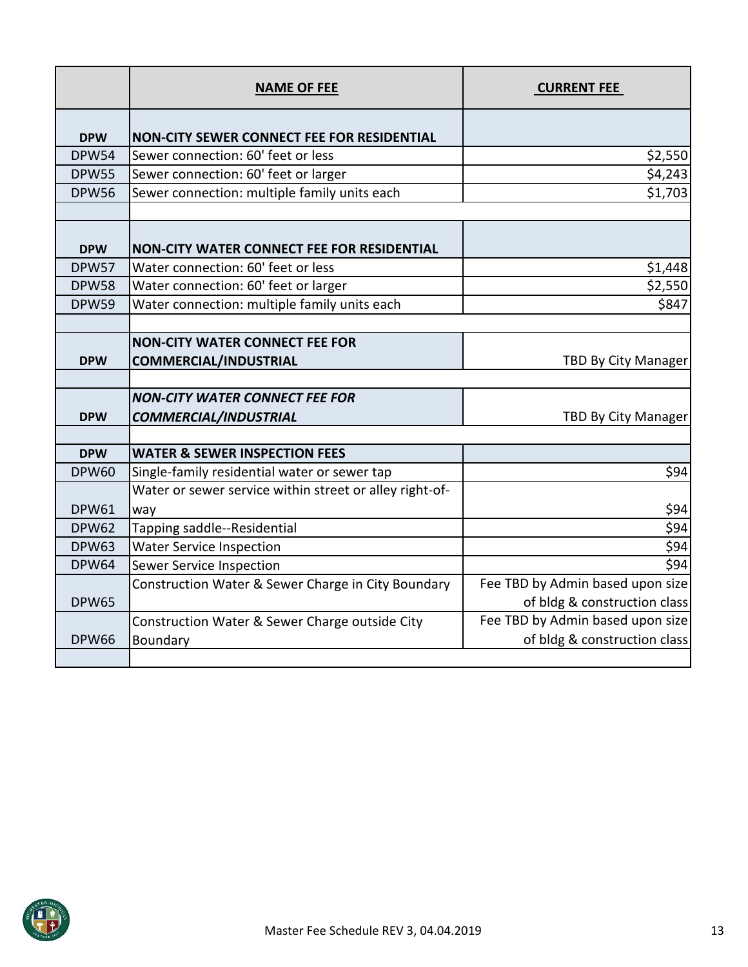|              | <b>NAME OF FEE</b>                                      | <b>CURRENT FEE</b>               |
|--------------|---------------------------------------------------------|----------------------------------|
| <b>DPW</b>   | <b>NON-CITY SEWER CONNECT FEE FOR RESIDENTIAL</b>       |                                  |
| <b>DPW54</b> | Sewer connection: 60' feet or less                      | \$2,550                          |
| <b>DPW55</b> | Sewer connection: 60' feet or larger                    | \$4,243                          |
| <b>DPW56</b> | Sewer connection: multiple family units each            | \$1,703                          |
|              |                                                         |                                  |
| <b>DPW</b>   | <b>NON-CITY WATER CONNECT FEE FOR RESIDENTIAL</b>       |                                  |
| <b>DPW57</b> | Water connection: 60' feet or less                      | \$1,448                          |
| <b>DPW58</b> | Water connection: 60' feet or larger                    | \$2,550                          |
| <b>DPW59</b> | Water connection: multiple family units each            | \$847                            |
|              |                                                         |                                  |
|              | <b>NON-CITY WATER CONNECT FEE FOR</b>                   |                                  |
| <b>DPW</b>   | <b>COMMERCIAL/INDUSTRIAL</b>                            | TBD By City Manager              |
|              |                                                         |                                  |
|              | <b>NON-CITY WATER CONNECT FEE FOR</b>                   |                                  |
| <b>DPW</b>   | <b>COMMERCIAL/INDUSTRIAL</b>                            | <b>TBD By City Manager</b>       |
|              |                                                         |                                  |
| <b>DPW</b>   | <b>WATER &amp; SEWER INSPECTION FEES</b>                |                                  |
| <b>DPW60</b> | Single-family residential water or sewer tap            | \$94                             |
|              | Water or sewer service within street or alley right-of- |                                  |
| <b>DPW61</b> | way                                                     | \$94                             |
| <b>DPW62</b> | Tapping saddle--Residential                             | \$94                             |
| <b>DPW63</b> | <b>Water Service Inspection</b>                         | \$94                             |
| <b>DPW64</b> | Sewer Service Inspection                                | \$94                             |
|              | Construction Water & Sewer Charge in City Boundary      | Fee TBD by Admin based upon size |
| <b>DPW65</b> |                                                         | of bldg & construction class     |
|              | Construction Water & Sewer Charge outside City          | Fee TBD by Admin based upon size |
| <b>DPW66</b> | Boundary                                                | of bldg & construction class     |
|              |                                                         |                                  |